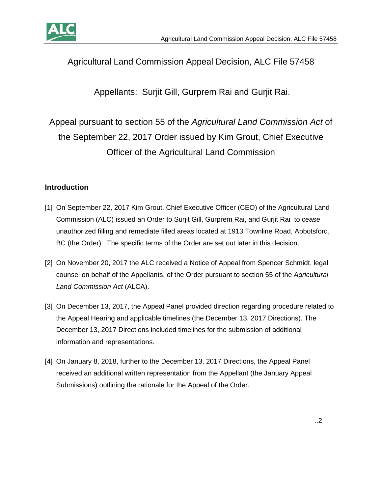



# Agricultural Land Commission Appeal Decision, ALC File 57458

Appellants: Surjit Gill, Gurprem Rai and Gurjit Rai.

Appeal pursuant to section 55 of the *Agricultural Land Commission Act* of the September 22, 2017 Order issued by Kim Grout, Chief Executive Officer of the Agricultural Land Commission

### **Introduction**

- [1] On September 22, 2017 Kim Grout, Chief Executive Officer (CEO) of the Agricultural Land Commission (ALC) issued an Order to Surjit Gill, Gurprem Rai, and Gurjit Rai to cease unauthorized filling and remediate filled areas located at 1913 Townline Road, Abbotsford, BC (the Order). The specific terms of the Order are set out later in this decision.
- [2] On November 20, 2017 the ALC received a Notice of Appeal from Spencer Schmidt, legal counsel on behalf of the Appellants, of the Order pursuant to section 55 of the *Agricultural Land Commission Act* (ALCA).
- [3] On December 13, 2017, the Appeal Panel provided direction regarding procedure related to the Appeal Hearing and applicable timelines (the December 13, 2017 Directions). The December 13, 2017 Directions included timelines for the submission of additional information and representations.
- [4] On January 8, 2018, further to the December 13, 2017 Directions, the Appeal Panel received an additional written representation from the Appellant (the January Appeal Submissions) outlining the rationale for the Appeal of the Order.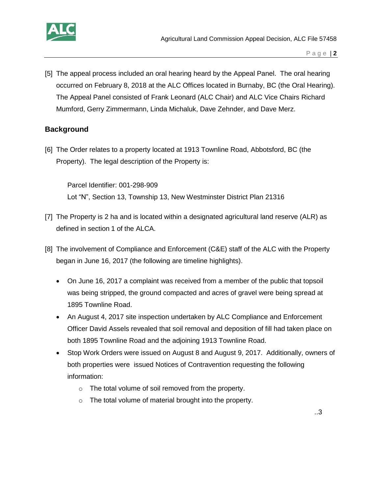

[5] The appeal process included an oral hearing heard by the Appeal Panel. The oral hearing occurred on February 8, 2018 at the ALC Offices located in Burnaby, BC (the Oral Hearing). The Appeal Panel consisted of Frank Leonard (ALC Chair) and ALC Vice Chairs Richard Mumford, Gerry Zimmermann, Linda Michaluk, Dave Zehnder, and Dave Merz.

#### **Background**

[6] The Order relates to a property located at 1913 Townline Road, Abbotsford, BC (the Property). The legal description of the Property is:

Parcel Identifier: 001-298-909 Lot "N", Section 13, Township 13, New Westminster District Plan 21316

- [7] The Property is 2 ha and is located within a designated agricultural land reserve (ALR) as defined in section 1 of the ALCA.
- [8] The involvement of Compliance and Enforcement (C&E) staff of the ALC with the Property began in June 16, 2017 (the following are timeline highlights).
	- On June 16, 2017 a complaint was received from a member of the public that topsoil was being stripped, the ground compacted and acres of gravel were being spread at 1895 Townline Road.
	- An August 4, 2017 site inspection undertaken by ALC Compliance and Enforcement Officer David Assels revealed that soil removal and deposition of fill had taken place on both 1895 Townline Road and the adjoining 1913 Townline Road.
	- Stop Work Orders were issued on August 8 and August 9, 2017. Additionally, owners of both properties were issued Notices of Contravention requesting the following information:
		- o The total volume of soil removed from the property.
		- o The total volume of material brought into the property.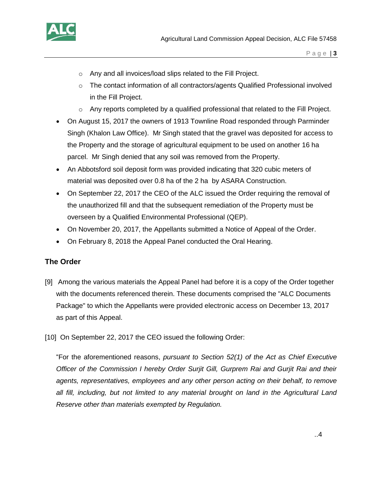

- o Any and all invoices/load slips related to the Fill Project.
- $\circ$  The contact information of all contractors/agents Qualified Professional involved in the Fill Project.
- $\circ$  Any reports completed by a qualified professional that related to the Fill Project.
- On August 15, 2017 the owners of 1913 Townline Road responded through Parminder Singh (Khalon Law Office). Mr Singh stated that the gravel was deposited for access to the Property and the storage of agricultural equipment to be used on another 16 ha parcel. Mr Singh denied that any soil was removed from the Property.
- An Abbotsford soil deposit form was provided indicating that 320 cubic meters of material was deposited over 0.8 ha of the 2 ha by ASARA Construction.
- On September 22, 2017 the CEO of the ALC issued the Order requiring the removal of the unauthorized fill and that the subsequent remediation of the Property must be overseen by a Qualified Environmental Professional (QEP).
- On November 20, 2017, the Appellants submitted a Notice of Appeal of the Order.
- On February 8, 2018 the Appeal Panel conducted the Oral Hearing.

#### **The Order**

- [9] Among the various materials the Appeal Panel had before it is a copy of the Order together with the documents referenced therein. These documents comprised the "ALC Documents Package" to which the Appellants were provided electronic access on December 13, 2017 as part of this Appeal.
- [10] On September 22, 2017 the CEO issued the following Order:

"For the aforementioned reasons, *pursuant to Section 52(1) of the Act as Chief Executive Officer of the Commission I hereby Order Surjit Gill, Gurprem Rai and Gurjit Rai and their agents, representatives, employees and any other person acting on their behalf, to remove all fill, including, but not limited to any material brought on land in the Agricultural Land Reserve other than materials exempted by Regulation.*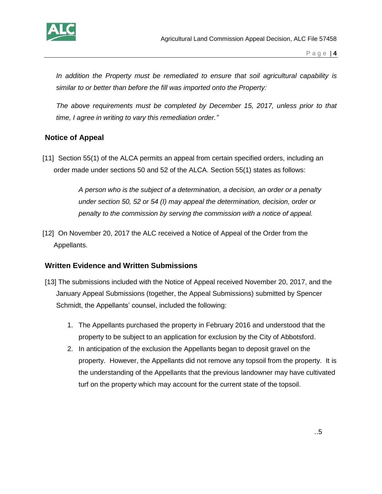

P a g e | **4**

*In addition the Property must be remediated to ensure that soil agricultural capability is similar to or better than before the fill was imported onto the Property:*

*The above requirements must be completed by December 15, 2017, unless prior to that time, I agree in writing to vary this remediation order."* 

### **Notice of Appeal**

[11] Section 55(1) of the ALCA permits an appeal from certain specified orders, including an order made under sections 50 and 52 of the ALCA. Section 55(1) states as follows:

> *A person who is the subject of a determination, a decision, an order or a penalty under section 50, 52 or 54 (I) may appeal the determination, decision, order or penalty to the commission by serving the commission with a notice of appeal.*

[12] On November 20, 2017 the ALC received a Notice of Appeal of the Order from the Appellants.

### **Written Evidence and Written Submissions**

- [13] The submissions included with the Notice of Appeal received November 20, 2017, and the January Appeal Submissions (together, the Appeal Submissions) submitted by Spencer Schmidt, the Appellants' counsel, included the following:
	- 1. The Appellants purchased the property in February 2016 and understood that the property to be subject to an application for exclusion by the City of Abbotsford.
	- 2. In anticipation of the exclusion the Appellants began to deposit gravel on the property. However, the Appellants did not remove any topsoil from the property. It is the understanding of the Appellants that the previous landowner may have cultivated turf on the property which may account for the current state of the topsoil.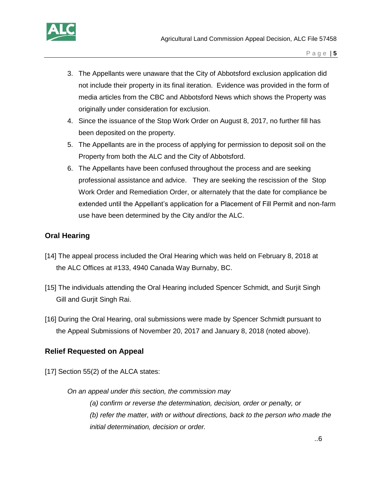

- 3. The Appellants were unaware that the City of Abbotsford exclusion application did not include their property in its final iteration. Evidence was provided in the form of media articles from the CBC and Abbotsford News which shows the Property was originally under consideration for exclusion.
- 4. Since the issuance of the Stop Work Order on August 8, 2017, no further fill has been deposited on the property.
- 5. The Appellants are in the process of applying for permission to deposit soil on the Property from both the ALC and the City of Abbotsford.
- 6. The Appellants have been confused throughout the process and are seeking professional assistance and advice. They are seeking the rescission of the Stop Work Order and Remediation Order, or alternately that the date for compliance be extended until the Appellant's application for a Placement of Fill Permit and non-farm use have been determined by the City and/or the ALC.

## **Oral Hearing**

- [14] The appeal process included the Oral Hearing which was held on February 8, 2018 at the ALC Offices at #133, 4940 Canada Way Burnaby, BC.
- [15] The individuals attending the Oral Hearing included Spencer Schmidt, and Surjit Singh Gill and Gurjit Singh Rai.
- [16] During the Oral Hearing, oral submissions were made by Spencer Schmidt pursuant to the Appeal Submissions of November 20, 2017 and January 8, 2018 (noted above).

### **Relief Requested on Appeal**

[17] Section 55(2) of the ALCA states:

*On an appeal under this section, the commission may (a) confirm or reverse the determination, decision, order or penalty, or (b) refer the matter, with or without directions, back to the person who made the initial determination, decision or order.*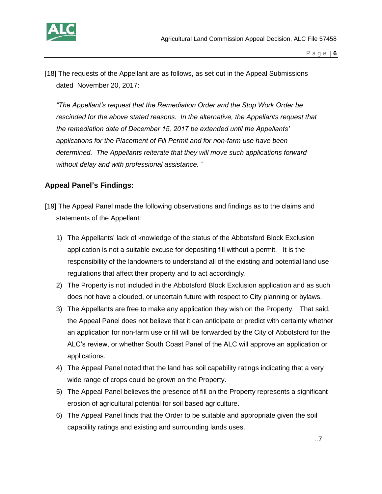

[18] The requests of the Appellant are as follows, as set out in the Appeal Submissions dated November 20, 2017:

*"The Appellant's request that the Remediation Order and the Stop Work Order be rescinded for the above stated reasons. In the alternative, the Appellants request that the remediation date of December 15, 2017 be extended until the Appellants' applications for the Placement of Fill Permit and for non-farm use have been determined. The Appellants reiterate that they will move such applications forward without delay and with professional assistance. "*

# **Appeal Panel's Findings:**

- [19] The Appeal Panel made the following observations and findings as to the claims and statements of the Appellant:
	- 1) The Appellants' lack of knowledge of the status of the Abbotsford Block Exclusion application is not a suitable excuse for depositing fill without a permit. It is the responsibility of the landowners to understand all of the existing and potential land use regulations that affect their property and to act accordingly.
	- 2) The Property is not included in the Abbotsford Block Exclusion application and as such does not have a clouded, or uncertain future with respect to City planning or bylaws.
	- 3) The Appellants are free to make any application they wish on the Property. That said, the Appeal Panel does not believe that it can anticipate or predict with certainty whether an application for non-farm use or fill will be forwarded by the City of Abbotsford for the ALC's review, or whether South Coast Panel of the ALC will approve an application or applications.
	- 4) The Appeal Panel noted that the land has soil capability ratings indicating that a very wide range of crops could be grown on the Property.
	- 5) The Appeal Panel believes the presence of fill on the Property represents a significant erosion of agricultural potential for soil based agriculture.
	- 6) The Appeal Panel finds that the Order to be suitable and appropriate given the soil capability ratings and existing and surrounding lands uses.